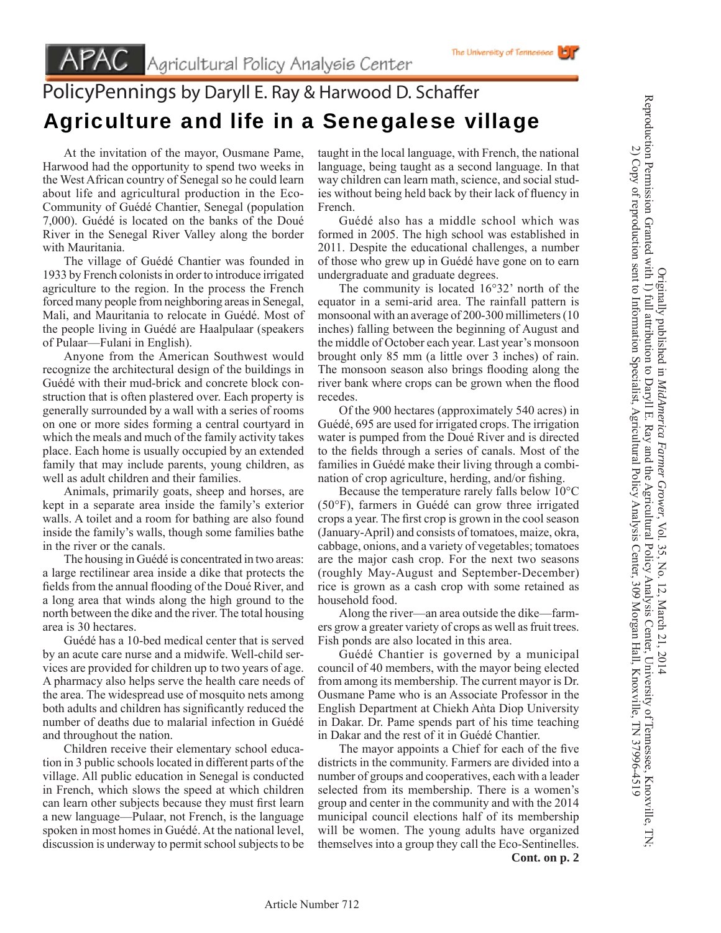## PolicyPennings by Daryll E. Ray & Harwood D. Schaffer Agriculture and life in a Senegalese village

 At the invitation of the mayor, Ousmane Pame, Harwood had the opportunity to spend two weeks in the West African country of Senegal so he could learn about life and agricultural production in the Eco-Community of Guédé Chantier, Senegal (population 7,000). Guédé is located on the banks of the Doué River in the Senegal River Valley along the border with Mauritania.

 The village of Guédé Chantier was founded in 1933 by French colonists in order to introduce irrigated agriculture to the region. In the process the French forced many people from neighboring areas in Senegal, Mali, and Mauritania to relocate in Guédé. Most of the people living in Guédé are Haalpulaar (speakers of Pulaar—Fulani in English).

 Anyone from the American Southwest would recognize the architectural design of the buildings in Guédé with their mud-brick and concrete block construction that is often plastered over. Each property is generally surrounded by a wall with a series of rooms on one or more sides forming a central courtyard in which the meals and much of the family activity takes place. Each home is usually occupied by an extended family that may include parents, young children, as well as adult children and their families.

 Animals, primarily goats, sheep and horses, are kept in a separate area inside the family's exterior walls. A toilet and a room for bathing are also found inside the family's walls, though some families bathe in the river or the canals.

 The housing in Guédé is concentrated in two areas: a large rectilinear area inside a dike that protects the fields from the annual flooding of the Doué River, and a long area that winds along the high ground to the north between the dike and the river. The total housing area is 30 hectares.

 Guédé has a 10-bed medical center that is served by an acute care nurse and a midwife. Well-child services are provided for children up to two years of age. A pharmacy also helps serve the health care needs of the area. The widespread use of mosquito nets among both adults and children has significantly reduced the number of deaths due to malarial infection in Guédé and throughout the nation.

 Children receive their elementary school education in 3 public schools located in different parts of the village. All public education in Senegal is conducted in French, which slows the speed at which children can learn other subjects because they must first learn a new language—Pulaar, not French, is the language spoken in most homes in Guédé. At the national level, discussion is underway to permit school subjects to be taught in the local language, with French, the national language, being taught as a second language. In that way children can learn math, science, and social studies without being held back by their lack of fluency in French.

 Guédé also has a middle school which was formed in 2005. The high school was established in 2011. Despite the educational challenges, a number of those who grew up in Guédé have gone on to earn undergraduate and graduate degrees.

 The community is located 16°32' north of the equator in a semi-arid area. The rainfall pattern is monsoonal with an average of 200-300 millimeters (10 inches) falling between the beginning of August and the middle of October each year. Last year's monsoon brought only 85 mm (a little over 3 inches) of rain. The monsoon season also brings flooding along the river bank where crops can be grown when the flood recedes.

 Of the 900 hectares (approximately 540 acres) in Guédé, 695 are used for irrigated crops. The irrigation water is pumped from the Doué River and is directed to the fields through a series of canals. Most of the families in Guédé make their living through a combination of crop agriculture, herding, and/or fishing.

 Because the temperature rarely falls below 10°C (50°F), farmers in Guédé can grow three irrigated crops a year. The first crop is grown in the cool season (January-April) and consists of tomatoes, maize, okra, cabbage, onions, and a variety of vegetables; tomatoes are the major cash crop. For the next two seasons (roughly May-August and September-December) rice is grown as a cash crop with some retained as household food.

 Along the river—an area outside the dike—farmers grow a greater variety of crops as well as fruit trees. Fish ponds are also located in this area.

 Guédé Chantier is governed by a municipal council of 40 members, with the mayor being elected from among its membership. The current mayor is Dr. Ousmane Pame who is an Associate Professor in the English Department at Chiekh Aǹta Diop University in Dakar. Dr. Pame spends part of his time teaching in Dakar and the rest of it in Guédé Chantier.

The mayor appoints a Chief for each of the five districts in the community. Farmers are divided into a number of groups and cooperatives, each with a leader selected from its membership. There is a women's group and center in the community and with the 2014 municipal council elections half of its membership will be women. The young adults have organized themselves into a group they call the Eco-Sentinelles. **Cont. on p. 2**